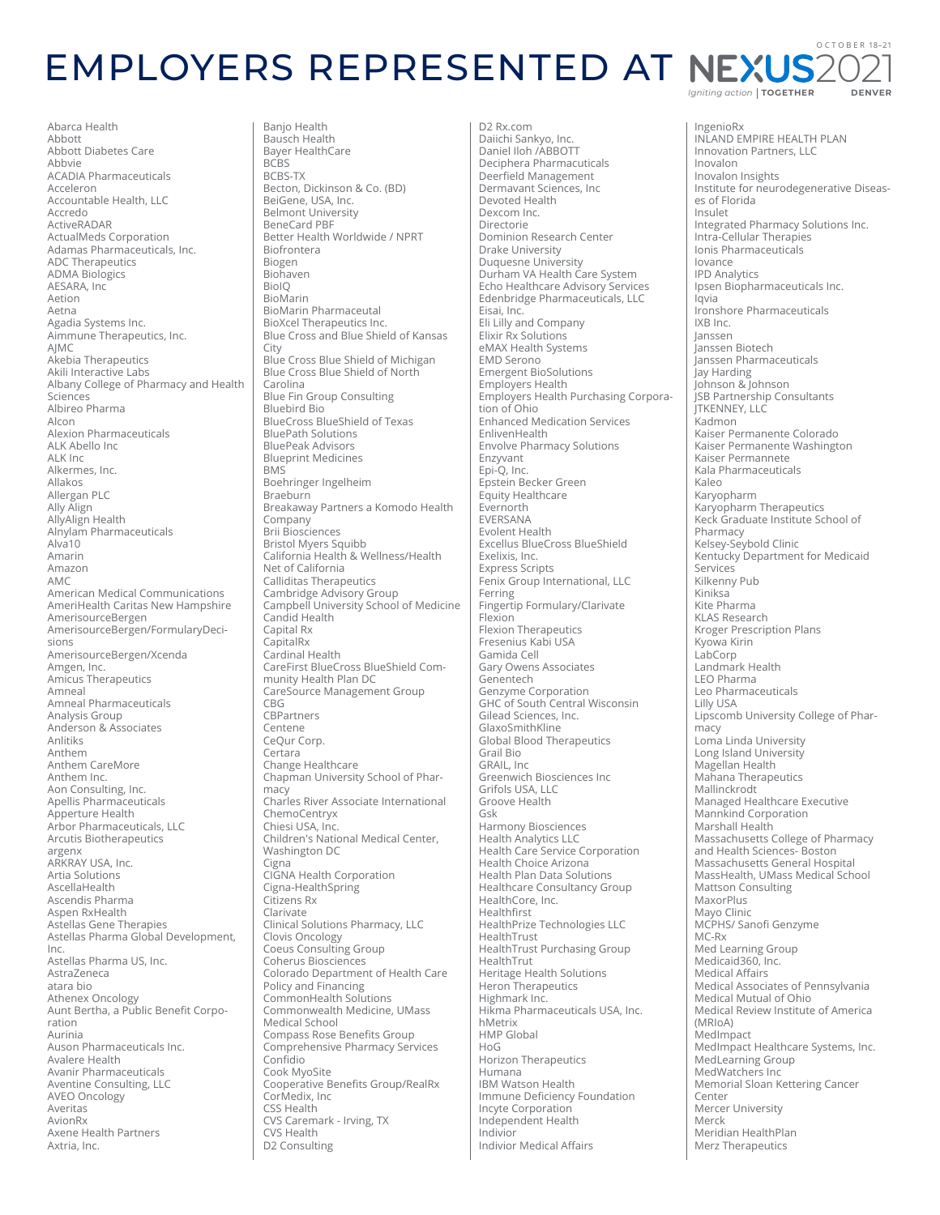## OCTOBER 18-21 **EMPLOYERS REPRESENTED AT NEXUS2** Igniting action | TOGETHER DENVER

Abarca Health Abbott Abbott Diabetes Care Abbvie<br>ACADIA Pharmaceuticals Acceleron Accountable Health, LLC Accredo ActiveRADAR ActualMeds Corporation<br>Adamas Pharmaceuticals, Inc. **ADC Therapeutics ADMA Biologics** AESARA, Inc. Aetion Aetna Agadia Systems Inc. Aimmune Therapeutics, Inc. AJMC Akebia Therapeutics Akili Interactive Labs Albany College of Pharmacy and Health Sciences Albireo Pharma Alcon **Alexion Pharmaceuticals** ALK Abello Inc ALK Inc Alkermes, Inc. Allakos Allergan PLC<br>Ally Align AllyAlign Health Alnylam Pharmaceuticals  $Alva10$ Amarin Amazon AMC American Medical Communications American medical communications AmerisourceBergen AmerisourceBergen/FormularyDecisions AmerisourceBergen/Xcenda Amgen, Inc.<br>Amicus Therapeutics Amneal Amneal Pharmaceuticals Analysis Group Anderson & Associates **Anlitiks** Anthem Anthem CareMore Anthem Inc. Aon Consulting, Inc. Apellis Pharmaceuticals Apperture Health Arbor Pharmaceuticals, LLC Arcutis Biotherapeutics argenx ARKRAY USA, Inc. Artia Solutions AscellaHealth Ascendis Pharma Aspen RxHealth Astellas Gene Therapies Astellas Pharma Global Development,  $Inc.$ n.s.<br>Astellas Pharma US, Inc. AstraZeneca atara hio Athenex Oncology<br>Athenex Oncology<br>Aunt Bertha, a Public Benefit Corporation Aurinia Auson Pharmaceuticals Inc.<br>Avalere Health Avanir Pharmaceuticals Aventine Consulting, LLC AVEO Oncology Averitas AvionRx Axene Health Partners Axtria, Inc.

Banjo Health Bausch Health Bayer HealthCare **BCBS** BCBS-TX Becton, Dickinson & Co. (BD) BeiGene, USA, Inc. Belmont University BeneCard PRF Better Health Worldwide / NPRT **Riofrontera** Biogen Biohaven **BiolO BioMarin BioMarin Pharmaceutal** BioXcel Therapeutics Inc. Blue Cross and Blue Shield of Kansas City Blue Cross Blue Shield of Michigan Blue Cross Blue Shield of North Carolina **Blue Fin Group Consulting Bluebird Bio BlueCross BlueShield of Texas BluePath Solutions** BluePeak Advisors **Blueprint Medicines BMS** Boehringer Ingelheim Braeburn Breakaway Partners a Komodo Health Company<br>Brii Biosciences Bristol Myers Squibb California Health & Wellness/Health Net of California Calliditas Therapeutics Cambridge Advisory Group<br>Cambridge Advisory Group<br>Campbell University School of Medicine Candid Health Capital Rx CapitalRx<br>Cardinal Health CareFirst BlueCross BlueShield Community Health Plan DC CareSource Management Group CBG CBPartners Centene CeQur Corp. Certara Change Healthcare Chapman University School of Pharmacy Charles River Associate International ChemoCentryx Chiesi USA, Inc. Children's National Medical Center, Washington DC Cigna<br>CIGNA Health Corporation Cigna-HealthSpring Citizens Rx Clarivate Clinical Solutions Pharmacy, LLC Clovis Oncology<br>Clovis Oncology<br>Coeus Consulting Group Coherus Biosciences Colorado Department of Health Care<br>Policy and Financing CommonHealth Solutions<br>Commonwealth Medicine, UMass Medical School **Compass Rose Benefits Group** Comprehensive Pharmacy Services Confidio Cook MyoSite Cooperative Benefits Group/RealRx CorMedix, Inc CSS Health CVS Caremark - Irving, TX CVS Health D2 Consulting

D2 Rx.com Daiichi Sankvo, Inc. Daniel Iloh /ABBOTT Deciphera Pharmacuticals<br>Deciphera Pharmacuticals Dermavant Sciences, Inc. Devoted Health Dexcom Inc. Directorie Dominion Research Center Drake University Drake Oniversity<br>Duquesne University<br>Durham VA Health Care System Echo Healthcare Advisory Services Edenbridge Pharmaceuticals, LLC Eisai, Inc.<br>Eisai, Inc.<br>Eli Lilly and Company Elixir Rx Solutions eMAX Health Systems **EMD Serono Emergent BioSolutions** Ennergence Beath<br>Employers Health<br>Employers Health Purchasing Corporation of Ohio **Enhanced Medication Services** EnlivenHealth **Envolve Pharmacy Solutions** Enzyvant Epi-O, Inc. Epstein Becker Green Equity Healthcare Evernorth EVERSANA Evolent Health Excellus BlueCross BlueShield Exelixis. Inc. Express Scripts Fenix Group International, LLC Ferring Fingertip Formulary/Clarivate Flexion **Flexion Therapeutics** Fresenius Kabi USA<br>Gamida Cell Gary Owens Associates Genentech Genzyme Corporation GHC of South Central Wisconsin Gilead Sciences, Inc. GlaxoSmithKline **Global Blood Therapeutics** Grail Bio GRAIL, Inc Greenwich Biosciences Inc Grifols USA, LLC Groove Health Gsk Harmony Biosciences Health Analytics LLC Health Care Service Corporation Health Choice Arizona **Health Plan Data Solutions** Healthcare Consultancy Group HealthCore, Inc. Healthfirst HealthPrize Technologies LLC HealthTrust HealthTrust Purchasing Group HealthTrut Heritage Health Solutions<br>Heron Therapeutics Highmark Inc. Hikma Pharmaceuticals USA, Inc. hMetrix HMP Global HoG Horizon Therapeutics Humana IBM Watson Health Immune Deficiency Foundation Incyte Corporation Independent Health Indivior **Indivior Medical Affairs** 

IngenioRx INLAND EMPIRE HEALTH PLAN Innovation Partners, LLC Inovalon Inovalon Insights Institute for neurodegenerative Diseases of Florida Insulet Integrated Pharmacy Solutions Inc. Intra-Cellular Therapies<br>Ionis Pharmaceuticals lovance **IPD Analytics** Ipsen Biopharmaceuticals Inc. lavia Ironshore Pharmaceuticals IXB Inc Janssen Janssen Biotech ,<br>Janssen Pharmaceuticals .<br>Jay Harding Johnson & Johnson .<br>JSB Partnership Consultants **ITKENNEY, LLC** .<br>Kadmon Kaiser Permanente Colorado Kaiser Permanente Washington Kaiser Permannete Kala Pharmaceuticals Kaleo Karyopharm Karyopharm Therapeutics Keck Graduate Institute School of Pharmacy<br>Kelsey-Seybold Clinic Kensey Seybord Clinic<br>Kentucky Department for Medicaid Services<br>Kilkenny Pub Kiniksa Kite Pharma **KLAS Research** Kroger Prescription Plans Kyowa Kirin LabCorp Landmark Health LEO Pharma Leo Pharmaceuticals Lilly USA Lipscomb University College of Pharmacy Loma Linda University Long Island University Magellan Health Mahana Therapeutics Mallinckrodt Managed Healthcare Executive Mannkind Corporation Marshall Health Massachusetts College of Pharmacy and Health Sciences- Boston Massachusetts General Hospital MassHealth, UMass Medical School Mattson Consulting MaxorPlus Mayo Clinic MCPHS/ Sanofi Genzyme MC-Rx<br>MC-Rx<br>Med Learning Group<br>Medicaid360, Inc. Medical Affairs Medical Associates of Pennsylvania Medical Mutual of Ohio Medical Review Institute of America  $(MRI<sub>0</sub>A)$ MedImpact Medimpact<br>MedImpact Healthcare Systems, Inc.<br>MedLearning Group MedWatchers Inc Memorial Sloan Kettering Cancer Center Mercer University Merck Meridian HealthPlan Merz Therapeutics